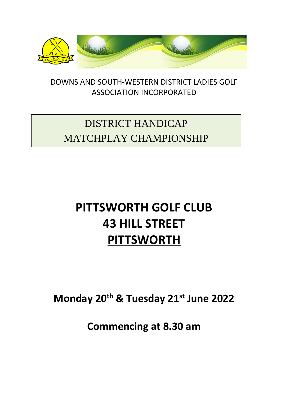

DOWNS AND SOUTH-WESTERN DISTRICT LADIES GOLF ASSOCIATION INCORPORATED

## DISTRICT HANDICAP MATCHPLAY CHAMPIONSHIP

# **PITTSWORTH GOLF CLUB 43 HILL STREET PITTSWORTH**

**Monday 20 th & Tuesday 21 st June 2022**

**Commencing at 8.30 am**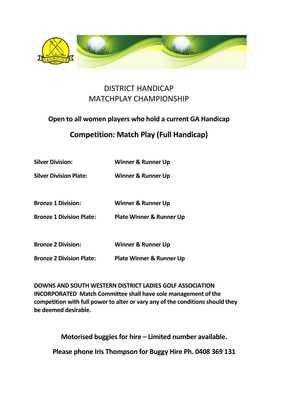

#### DISTRICT HANDICAP MATCHPLAY CHAMPIONSHIP

## **Open to all women players who hold a current GA Handicap**

### **Competition: Match Play (Full Handicap)**

| <b>Silver Division:</b>         | <b>Winner &amp; Runner Up</b>       |
|---------------------------------|-------------------------------------|
| <b>Silver Division Plate:</b>   | Winner & Runner Up                  |
| <b>Bronze 1 Division:</b>       | <b>Winner &amp; Runner Up</b>       |
| <b>Bronze 1 Division Plate:</b> | <b>Plate Winner &amp; Runner Up</b> |
| <b>Bronze 2 Division:</b>       | <b>Winner &amp; Runner Up</b>       |
| <b>Bronze 2 Division Plate:</b> | <b>Plate Winner &amp; Runner Up</b> |

**DOWNS AND SOUTH WESTERN DISTRICT LADIES GOLF ASSOCIATION INCORPORATED Match Committee shall have sole management of the competition with full power to alter or vary any of the conditions should they be deemed desirable.**

**Motorised buggies for hire – Limited number available.**

**Please phone Iris Thompson for Buggy Hire Ph. 0408 369 131**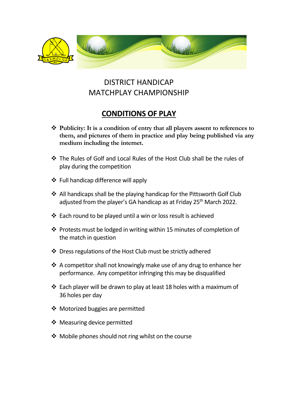

### DISTRICT HANDICAP MATCHPLAY CHAMPIONSHIP

### **CONDITIONS OF PLAY**

- **Publicity: It is a condition of entry that all players assent to references to them, and pictures of them in practice and play being published via any medium including the internet.**
- The Rules of Golf and Local Rules of the Host Club shall be the rules of play during the competition
- ❖ Full handicap difference will apply
- ❖ All handicaps shall be the playing handicap for the Pittsworth Golf Club adjusted from the player's GA handicap as at Friday 25<sup>th</sup> March 2022.
- $\cdot$  Each round to be played until a win or loss result is achieved
- $\cdot$  Protests must be lodged in writing within 15 minutes of completion of the match in question
- Dress regulations of the Host Club must be strictly adhered
- $\cdot$  A competitor shall not knowingly make use of any drug to enhance her performance. Any competitor infringing this may be disqualified
- $\cdot$  Each player will be drawn to play at least 18 holes with a maximum of 36 holes per day
- Motorized buggies are permitted
- ❖ Measuring device permitted
- ❖ Mobile phones should not ring whilst on the course